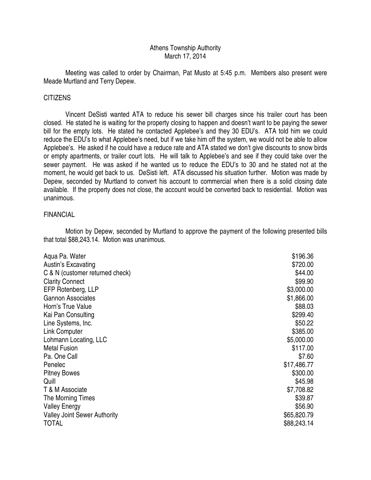# Athens Township Authority March 17, 2014

 Meeting was called to order by Chairman, Pat Musto at 5:45 p.m. Members also present were Meade Murtland and Terry Depew.

# CITIZENS

 Vincent DeSisti wanted ATA to reduce his sewer bill charges since his trailer court has been closed. He stated he is waiting for the property closing to happen and doesn't want to be paying the sewer bill for the empty lots. He stated he contacted Applebee's and they 30 EDU's. ATA told him we could reduce the EDU's to what Applebee's need, but if we take him off the system, we would not be able to allow Applebee's. He asked if he could have a reduce rate and ATA stated we don't give discounts to snow birds or empty apartments, or trailer court lots. He will talk to Applebee's and see if they could take over the sewer payment. He was asked if he wanted us to reduce the EDU's to 30 and he stated not at the moment, he would get back to us. DeSisti left. ATA discussed his situation further. Motion was made by Depew, seconded by Murtland to convert his account to commercial when there is a solid closing date available. If the property does not close, the account would be converted back to residential. Motion was unanimous.

# FINANCIAL

 Motion by Depew, seconded by Murtland to approve the payment of the following presented bills that total \$88,243.14. Motion was unanimous.

| Aqua Pa. Water                      | \$196.36    |
|-------------------------------------|-------------|
| Austin's Excavating                 | \$720.00    |
| C & N (customer returned check)     | \$44.00     |
| <b>Clarity Connect</b>              | \$99.90     |
| EFP Rotenberg, LLP                  | \$3,000.00  |
| <b>Gannon Associates</b>            | \$1,866.00  |
| Horn's True Value                   | \$88.03     |
| Kai Pan Consulting                  | \$299.40    |
| Line Systems, Inc.                  | \$50.22     |
| <b>Link Computer</b>                | \$385.00    |
| Lohmann Locating, LLC               | \$5,000.00  |
| <b>Metal Fusion</b>                 | \$117.00    |
| Pa. One Call                        | \$7.60      |
| Penelec                             | \$17,486.77 |
| <b>Pitney Bowes</b>                 | \$300.00    |
| Quill                               | \$45.98     |
| T & M Associate                     | \$7,708.82  |
| The Morning Times                   | \$39.87     |
| <b>Valley Energy</b>                | \$56.90     |
| <b>Valley Joint Sewer Authority</b> | \$65,820.79 |
| <b>TOTAL</b>                        | \$88,243.14 |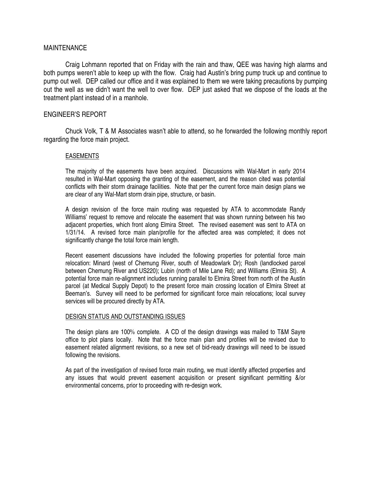## MAINTENANCE

 Craig Lohmann reported that on Friday with the rain and thaw, QEE was having high alarms and both pumps weren't able to keep up with the flow. Craig had Austin's bring pump truck up and continue to pump out well. DEP called our office and it was explained to them we were taking precautions by pumping out the well as we didn't want the well to over flow. DEP just asked that we dispose of the loads at the treatment plant instead of in a manhole.

## ENGINEER'S REPORT

 Chuck Volk, T & M Associates wasn't able to attend, so he forwarded the following monthly report regarding the force main project.

### EASEMENTS

The majority of the easements have been acquired. Discussions with Wal-Mart in early 2014 resulted in Wal-Mart opposing the granting of the easement, and the reason cited was potential conflicts with their storm drainage facilities. Note that per the current force main design plans we are clear of any Wal-Mart storm drain pipe, structure, or basin.

A design revision of the force main routing was requested by ATA to accommodate Randy Williams' request to remove and relocate the easement that was shown running between his two adjacent properties, which front along Elmira Street. The revised easement was sent to ATA on 1/31/14. A revised force main plan/profile for the affected area was completed; it does not significantly change the total force main length.

Recent easement discussions have included the following properties for potential force main relocation: Minard (west of Chemung River, south of Meadowlark Dr); Rosh (landlocked parcel between Chemung River and US220); Lubin (north of Mile Lane Rd); and Williams (Elmira St). A potential force main re-alignment includes running parallel to Elmira Street from north of the Austin parcel (at Medical Supply Depot) to the present force main crossing location of Elmira Street at Beeman's. Survey will need to be performed for significant force main relocations; local survey services will be procured directly by ATA.

### DESIGN STATUS AND OUTSTANDING ISSUES

The design plans are 100% complete. A CD of the design drawings was mailed to T&M Sayre office to plot plans locally. Note that the force main plan and profiles will be revised due to easement related alignment revisions, so a new set of bid-ready drawings will need to be issued following the revisions.

As part of the investigation of revised force main routing, we must identify affected properties and any issues that would prevent easement acquisition or present significant permitting &/or environmental concerns, prior to proceeding with re-design work.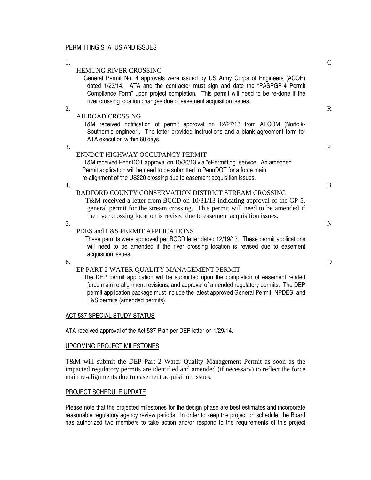### PERMITTING STATUS AND ISSUES

| 1. |                                                                                                                                                                                                                          | $\mathcal{C}$ |
|----|--------------------------------------------------------------------------------------------------------------------------------------------------------------------------------------------------------------------------|---------------|
|    | <b>HEMUNG RIVER CROSSING</b>                                                                                                                                                                                             |               |
|    | General Permit No. 4 approvals were issued by US Army Corps of Engineers (ACOE)<br>dated 1/23/14. ATA and the contractor must sign and date the "PASPGP-4 Permit                                                         |               |
|    | Compliance Form" upon project completion. This permit will need to be re-done if the<br>river crossing location changes due of easement acquisition issues.                                                              |               |
| 2. |                                                                                                                                                                                                                          | $\mathbb{R}$  |
|    | <b>AILROAD CROSSING</b>                                                                                                                                                                                                  |               |
|    | T&M received notification of permit approval on 12/27/13 from AECOM (Norfolk-<br>Southern's engineer). The letter provided instructions and a blank agreement form for                                                   |               |
|    | ATA execution within 60 days.                                                                                                                                                                                            |               |
| 3. |                                                                                                                                                                                                                          | P             |
|    | ENNDOT HIGHWAY OCCUPANCY PERMIT                                                                                                                                                                                          |               |
|    | T&M received PennDOT approval on 10/30/13 via "ePermitting" service. An amended                                                                                                                                          |               |
|    | Permit application will be need to be submitted to PennDOT for a force main<br>re-alignment of the US220 crossing due to easement acquisition issues.                                                                    |               |
| 4. |                                                                                                                                                                                                                          | B             |
|    | RADFORD COUNTY CONSERVATION DISTRICT STREAM CROSSING<br>T&M received a letter from BCCD on $10/31/13$ indicating approval of the GP-5,<br>general permit for the stream crossing. This permit will need to be amended if |               |
|    | the river crossing location is revised due to easement acquisition issues.                                                                                                                                               |               |
| 5. |                                                                                                                                                                                                                          | $\mathbf N$   |
|    | PDES and E&S PERMIT APPLICATIONS                                                                                                                                                                                         |               |
|    | These permits were approved per BCCD letter dated 12/19/13. These permit applications<br>will need to be amended if the river crossing location is revised due to easement<br>acquisition issues.                        |               |
| 6. |                                                                                                                                                                                                                          | D             |
|    | ED DA DE O WATED OUAL TEVALANA CEMENTE DEDMIT                                                                                                                                                                            |               |

#### EP PART 2 WATER QUALITY MANAGEMENT PERMIT

 The DEP permit application will be submitted upon the completion of easement related force main re-alignment revisions, and approval of amended regulatory permits. The DEP permit application package must include the latest approved General Permit, NPDES, and E&S permits (amended permits).

## **ACT 537 SPECIAL STUDY STATUS**

ATA received approval of the Act 537 Plan per DEP letter on 1/29/14.

#### UPCOMING PROJECT MILESTONES

T&M will submit the DEP Part 2 Water Quality Management Permit as soon as the impacted regulatory permits are identified and amended (if necessary) to reflect the force main re-alignments due to easement acquisition issues.

#### PROJECT SCHEDULE UPDATE

Please note that the projected milestones for the design phase are best estimates and incorporate reasonable regulatory agency review periods. In order to keep the project on schedule, the Board has authorized two members to take action and/or respond to the requirements of this project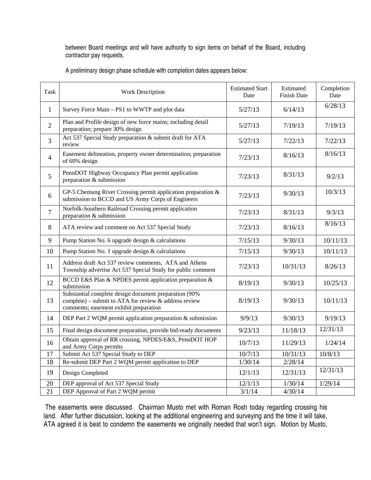between Board meetings and will have authority to sign items on behalf of the Board, including contractor pay requests.

A preliminary design phase schedule with completion dates appears below:

| Task            | <b>Work Description</b>                                                                                                                                      | <b>Estimated Start</b><br>Date | Estimated<br><b>Finish Date</b> | Completion<br>Date |
|-----------------|--------------------------------------------------------------------------------------------------------------------------------------------------------------|--------------------------------|---------------------------------|--------------------|
| $\mathbf{1}$    | Survey Force Main - PS1 to WWTP and plot data                                                                                                                | 5/27/13                        | 6/14/13                         | 6/28/13            |
| $\overline{2}$  | Plan and Profile design of new force mains; including detail<br>preparation; prepare 30% design                                                              | 5/27/13                        | 7/19/13                         | 7/19/13            |
| 3               | Act 537 Special Study preparation & submit draft for ATA<br>review                                                                                           | 5/27/13                        | 7/22/13                         | 7/22/13            |
| $\overline{4}$  | Easement delineation, property owner determination; preparation<br>of 60% design                                                                             | 7/23/13                        | 8/16/13                         | 8/16/13            |
| 5               | PennDOT Highway Occupancy Plan permit application<br>preparation & submission                                                                                | 7/23/13                        | 8/31/13                         | 9/2/13             |
| 6               | GP-5 Chemung River Crossing permit application preparation &<br>submission to BCCD and US Army Corps of Engineers                                            | 7/23/13                        | 9/30/13                         | 10/3/13            |
| $\overline{7}$  | Norfolk-Southern Railroad Crossing permit application<br>preparation & submission                                                                            | 7/23/13                        | 8/31/13                         | 9/3/13             |
| 8               | ATA review and comment on Act 537 Special Study                                                                                                              | 7/23/13                        | 8/16/13                         | 8/16/13            |
| 9               | Pump Station No. 6 upgrade design & calculations                                                                                                             | 7/15/13                        | 9/30/13                         | 10/11/13           |
| 10              | Pump Station No. 1 upgrade design & calculations                                                                                                             | 7/15/13                        | 9/30/13                         | 10/11/13           |
| 11              | Address draft Act 537 review comments, ATA and Athens<br>Township advertise Act 537 Special Study for public comment                                         | 7/23/13                        | 10/31/13                        | 8/26/13            |
| 12              | BCCD E&S Plan & NPDES permit application preparation &<br>submission                                                                                         | 8/19/13                        | 9/30/13                         | 10/25/13           |
| 13              | Substantial complete design document preparation (90%)<br>complete) – submit to ATA for review $\&$ address review<br>comments; easement exhibit preparation | 8/19/13                        | 9/30/13                         | 10/11/13           |
| 14              | DEP Part 2 WQM permit application preparation & submission                                                                                                   | 9/9/13                         | 9/30/13                         | 9/19/13            |
| 15              | Final design document preparation, provide bid-ready documents                                                                                               | 9/23/13                        | 11/18/13                        | 12/31/13           |
| 16              | Obtain approval of RR crossing, NPDES/E&S, PennDOT HOP<br>and Army Corps permits                                                                             | 10/7/13                        | 11/29/13                        | 1/24/14            |
| 17              | Submit Act 537 Special Study to DEP                                                                                                                          | 10/7/13                        | 10/31/13                        | 10/8/13            |
| 18              | Re-submit DEP Part 2 WQM permit application to DEP                                                                                                           | 1/30/14                        | 2/28/14                         |                    |
| 19              | Design Completed                                                                                                                                             | 12/1/13                        | 12/31/13                        | 12/31/13           |
| 20              | DEP approval of Act 537 Special Study                                                                                                                        | 12/1/13                        | 1/30/14                         | 1/29/14            |
| $\overline{21}$ | DEP Approval of Part 2 WQM permit                                                                                                                            | 3/1/14                         | 4/30/14                         |                    |

 The easements were discussed. Chairman Musto met with Roman Rosh today regarding crossing his land. After further discussion, looking at the additional engineering and surveying and the time it will take, ATA agreed it is best to condemn the easements we originally needed that won't sign. Motion by Musto,